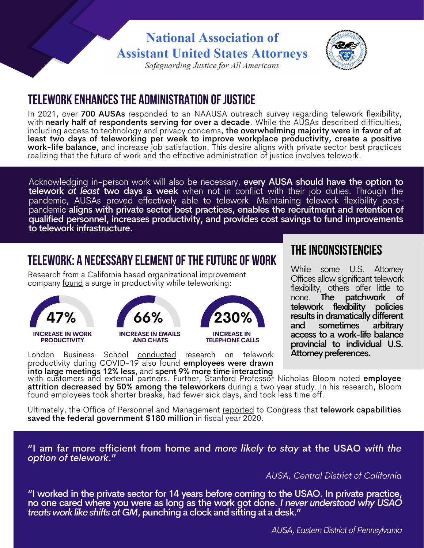# **National Association of Assistant United States Attorneys**



Safeguarding Justice for All Americans

## **Telework enhancesthe administration ofjustice**

In 2021, over 700 AUSAs responded to an NAAUSA outreach survey regarding telework flexibility, with **nearly half of respondents serving for over a decade**. While the AUSAs described difficulties, including access to technology and privacy concerns, the overwhelming majority were in favor of at least two days of teleworking per week to improve workplace productivity, create a positive work-life balance, and increase job satisfaction. This desire aligns with private sector best practices realizing that the future of work and the effective administration of justice involves telework.

Acknowledging in-person work will also be necessary, every AUSA should have the option to telework *at least* two days a week when not in conflict with their job duties. Through the pandemic, AUSAs proved effectively able to telework. Maintaining telework flexibility postpandemic aligns with private sector best practices, enables the recruitment and retention of qualified personnel, increases productivity, and provides cost savings to fund improvements to telework infrastructure.

# **TELEWORK: A NECESSARYELEMENTOFTHEFUTUREOF WORK**

Research from a California based [organizational](https://www.forbes.com/sites/chriswestfall/2020/05/20/new-survey-shows-47-increase-in-productivity-3-things-you-must-do-when-working-from-home/?sh=7c3505d80dc8) improvement company [found](https://www.forbes.com/sites/chriswestfall/2020/05/20/new-survey-shows-47-increase-in-productivity-3-things-you-must-do-when-working-from-home/?sh=7c3505d80dc8) a surge in productivity while teleworking:







London Business School [conducted](https://hbr.org/2020/08/research-knowledge-workers-are-more-productive-from-home) [research](https://hbr.org/2020/08/research-knowledge-workers-are-more-productive-from-home) on telework productivity during COVID-19 also found employees were drawn into large meetings 12% less, and spent 9% more time interacting

### **THE INCONSISTENCIES**

**66% 100%** results indramaticallydifferent While some U.S. Attorney Offices allow significant telework flexibility, others offer little to none. The patchwork of<br>telework flexibility policies telework flexibility and sometimes arbitrary access to a work-life balance provincial to individual U.S. Attorney preferences.

with customers and external partners. Further, Stanford Professor Nicholas Bloom <u>[noted](https://www.inc.com/scott-mautz/a-2-year-stanford-study-shows-astonishing-productivity-boost-of-working-from-home.html)</u> **employee** attrition decreased by 50% among the teleworkers during a two year study. In his research, Bloom found employees took shorter breaks, had fewer sick days, and took less time off.

Ultimately, the Office of Personnel and Management [reported](https://www.telework.gov/reports-studies/reports-to-congress/2021-report-to-congress.pdf) to Congress that **telework capabilities** saved the federal government \$180 million in fiscal year 2020.

"I am far more efficient from home and *more likely to stay* at the USAO *with the option of telework*."

*AUSA, Central District of California*

"I worked in the private sector for 14 years before coming to the USAO. In private practice, no one cared where you were as long as the work got done. *I never understood why USAO treats work like shifts at GM*, punching a clock and sitting at a desk."

*AUSA, EasternDistrict of Pennsylvania*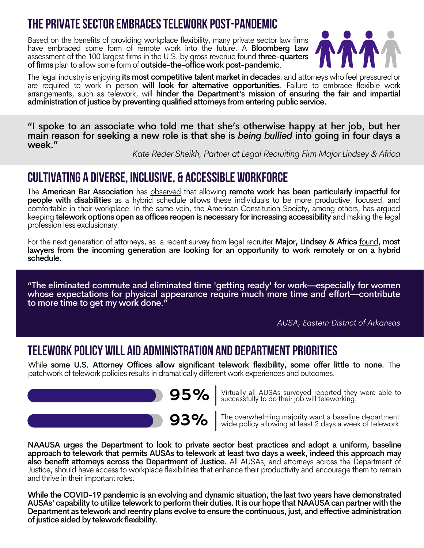#### **thePrivateSector EmbracesTelework post-pandemic**

Based on the benefits of providing workplace flexibility, many private sector law firms have embraced some form of remote work into the future. A **[Bloomberg](https://www.bloomberglaw.com/bloomberglawnews/exp/eyJjdHh0IjoiQlVOVyIsImlkIjoiMDAwMDAxN2MtY2QzNS1kYjExLWE3ZmQtY2ZmNTU4NTAwMDAxIiwic2lnIjoiUkQ1OVdPQmdzcG05K3RQQzVCbzAvOW40b3h3PSIsInRpbWUiOiIxNjM2NTUyNTEwIiwidXVpZCI6Ilg4UDlrc1hOamRrMmFhcmtSZFV4OEE9PThqUUJlcU1vWWF4bk1xR203Mk1TMUE9PSIsInYiOiIxIn0=?bwid=0000017c-cd35-db11-a7fd-cff558500001&cti=LSCH&emc=bbunw_nl%3A4&et=NEWSLETTER&isAlert=false&item=read-text&qid=7199988®ion=featured-story&source=newsletter&uc=1320042664&udvType=Alert&usertype=External) Law** [assessment](https://www.bloomberglaw.com/bloomberglawnews/exp/eyJjdHh0IjoiQlVOVyIsImlkIjoiMDAwMDAxN2MtY2QzNS1kYjExLWE3ZmQtY2ZmNTU4NTAwMDAxIiwic2lnIjoiUkQ1OVdPQmdzcG05K3RQQzVCbzAvOW40b3h3PSIsInRpbWUiOiIxNjM2NTUyNTEwIiwidXVpZCI6Ilg4UDlrc1hOamRrMmFhcmtSZFV4OEE9PThqUUJlcU1vWWF4bk1xR203Mk1TMUE9PSIsInYiOiIxIn0=?bwid=0000017c-cd35-db11-a7fd-cff558500001&cti=LSCH&emc=bbunw_nl%3A4&et=NEWSLETTER&isAlert=false&item=read-text&qid=7199988®ion=featured-story&source=newsletter&uc=1320042664&udvType=Alert&usertype=External) of the 100 largest firms in the U.S. by gross revenue found three-quarters of firms plan to allow some form of outside-the-office work post-pandemic.



The legal industry is enjoying its most competitive talent market in decades, and attorneys who feel pressured or are required to work in person will look for alternative opportunities. Failure to embrace flexible work arrangements, such as telework, will hinder the Department's mission of ensuring the fair and impartial administration of justice by preventing qualified attorneys from entering public service.

"I spoke to an associate who told me that she's otherwise happy at her job, but her main reason for seeking a new role is that she is *being bullied* into going in four days a week."

*Kate Reder Sheikh, Partner at Legal Recruiting Firm Major Lindsey & Africa*

#### **Cultivating a diverse, inclusive, & Accessible workforce**

The American Bar [Association](https://www.americanbar.org/groups/journal/articles/2021/has-covid-19-made-the-workplace-more-accessible-for-lawyers-with/) has **[observed](https://www.americanbar.org/groups/journal/articles/2021/has-covid-19-made-the-workplace-more-accessible-for-lawyers-with/)** that allowing remote work has been particularly impactful for people with disabilities as a hybrid schedule allows these individuals to be more productive, focused, and comfortable in their workplace. In the same vein, the American [Constitution](https://www.acslaw.org/expertforum/october-is-national-disability-employment-awareness-month-how-can-you-help-make-the-legal-profession-less-exclusionary/) Society, among others, has arqued keeping **telework options open as offices reopen is necessary for increasing accessibility** and making the legal profession less exclusionary.

For the next generation of attorneys, as a [recent](https://www.legalscoops.com/will-law-firms-continue-with-remote-work-after-the-covid-pandemic/) survey from legal recruiter **Major, Lindsey & Africa** <u>[found](https://www.legalscoops.com/will-law-firms-continue-with-remote-work-after-the-covid-pandemic/)</u>, **most** lawyers from the incoming generation are looking for an opportunity to work remotely or on a hybrid schedule.

"The eliminated commute and eliminated time 'getting ready' for work—especially for women whose expectations for physical appearance require much more time and effort—contribute to more time to get my work done."

*AUSA, Eastern District of Arkansas*

#### **TELEWORK POLICY WILL AID ADMINISTRATION AND DEPARTMENTPRIORITIES**

While some U.S. Attorney Offices allow significant telework flexibility, some offer little to none. The patchwork of telework policies results in dramatically different work experiences and outcomes.



**95%** Virtually all AUSAs surveyed reported they were able to successfully to do their job will teleworking.

93% The overwhelming majority want <sup>a</sup> baseline department wide policy allowing at least 2 days a week of telework.

NAAUSA urges the Department to look to private sector best practices and adopt a uniform, baseline approach to telework that permits AUSAs to telework at least two days a week, indeed this approach may also benefit attorneys across the Department of Justice. All AUSAs, and attorneys across the Department of Justice, should have access to workplace flexibilities that enhance their productivity and encourage them to remain and thrive in their important roles.

While the COVID-19 pandemic is an evolving and dynamic situation, the last two years have demonstrated AUSAs' capability to utilize telework to perform their duties. It is our hope that NAAUSA can partner with the Department as telework and reentry plans evolve to ensure the continuous, just, and effective administration of justice aided by telework flexibility.